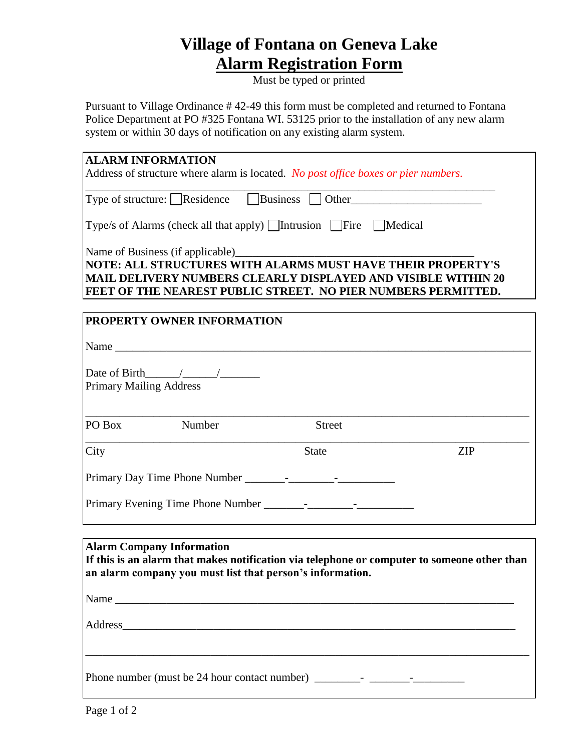## **Village of Fontana on Geneva Lake Alarm Registration Form**

Must be typed or printed

Pursuant to Village Ordinance # 42-49 this form must be completed and returned to Fontana Police Department at PO #325 Fontana WI. 53125 prior to the installation of any new alarm system or within 30 days of notification on any existing alarm system.

| <b>ALARM INFORMATION</b>                                                                                                                                         |               |            |                                                               |  |  |
|------------------------------------------------------------------------------------------------------------------------------------------------------------------|---------------|------------|---------------------------------------------------------------|--|--|
| Address of structure where alarm is located. No post office boxes or pier numbers.                                                                               |               |            |                                                               |  |  |
|                                                                                                                                                                  |               |            |                                                               |  |  |
| Type of structure: Residence Business Other                                                                                                                      |               |            |                                                               |  |  |
|                                                                                                                                                                  |               |            |                                                               |  |  |
| Type/s of Alarms (check all that apply) <i>Intrusion</i> Fire Medical                                                                                            |               |            |                                                               |  |  |
|                                                                                                                                                                  |               |            |                                                               |  |  |
| Name of Business (if applicable)<br>NOTE: ALL STRUCTURES WITH ALARMS MUST HAVE THEIR PROPERTY'S<br>MAIL DELIVERY NUMBERS CLEARLY DISPLAYED AND VISIBLE WITHIN 20 |               |            |                                                               |  |  |
|                                                                                                                                                                  |               |            | FEET OF THE NEAREST PUBLIC STREET. NO PIER NUMBERS PERMITTED. |  |  |
|                                                                                                                                                                  |               |            |                                                               |  |  |
| PROPERTY OWNER INFORMATION                                                                                                                                       |               |            |                                                               |  |  |
|                                                                                                                                                                  |               |            |                                                               |  |  |
|                                                                                                                                                                  |               |            |                                                               |  |  |
|                                                                                                                                                                  |               |            |                                                               |  |  |
| Date of Birth $\_\_\_\_\_\_\_\_\_\_\_\_\$                                                                                                                        |               |            |                                                               |  |  |
|                                                                                                                                                                  |               |            |                                                               |  |  |
| <b>Primary Mailing Address</b>                                                                                                                                   |               |            |                                                               |  |  |
|                                                                                                                                                                  |               |            |                                                               |  |  |
|                                                                                                                                                                  |               |            |                                                               |  |  |
| PO Box<br>Number                                                                                                                                                 | <b>Street</b> |            |                                                               |  |  |
|                                                                                                                                                                  |               |            |                                                               |  |  |
| City                                                                                                                                                             | <b>State</b>  | <b>ZIP</b> |                                                               |  |  |
|                                                                                                                                                                  |               |            |                                                               |  |  |
|                                                                                                                                                                  |               |            |                                                               |  |  |
|                                                                                                                                                                  |               |            |                                                               |  |  |
|                                                                                                                                                                  |               |            |                                                               |  |  |
|                                                                                                                                                                  |               |            |                                                               |  |  |
|                                                                                                                                                                  |               |            |                                                               |  |  |
| <b>Alarm Company Information</b>                                                                                                                                 |               |            |                                                               |  |  |
| If this is an alarm that makes notification via telephone or computer to someone other than                                                                      |               |            |                                                               |  |  |
| an alarm company you must list that person's information.                                                                                                        |               |            |                                                               |  |  |
|                                                                                                                                                                  |               |            |                                                               |  |  |

Name \_\_\_\_\_\_\_\_\_\_\_\_\_\_\_\_\_\_\_\_\_\_\_\_\_\_\_\_\_\_\_\_\_\_\_\_\_\_\_\_\_\_\_\_\_\_\_\_\_\_\_\_\_\_\_\_\_\_\_\_\_\_\_\_\_\_\_\_\_\_

Address

Phone number (must be 24 hour contact number)  $\frac{1}{\frac{1}{1-\frac{1}{1-\frac{1}{1-\frac{1}{1-\frac{1}{1-\frac{1}{1-\frac{1}{1-\frac{1}{1-\frac{1}{1-\frac{1}{1-\frac{1}{1-\frac{1}{1-\frac{1}{1-\frac{1}{1-\frac{1}{1-\frac{1}{1-\frac{1}{1-\frac{1}{1-\frac{1}{1-\frac{1}{1-\frac{1}{1-\frac{1}{1-\frac{1}{1-\frac{1}{1-\frac{1}{1-\frac{1}{1-\frac{1}{1-\frac{1}{1-\$ 

\_\_\_\_\_\_\_\_\_\_\_\_\_\_\_\_\_\_\_\_\_\_\_\_\_\_\_\_\_\_\_\_\_\_\_\_\_\_\_\_\_\_\_\_\_\_\_\_\_\_\_\_\_\_\_\_\_\_\_\_\_\_\_\_\_\_\_\_\_\_\_\_\_\_\_\_\_\_